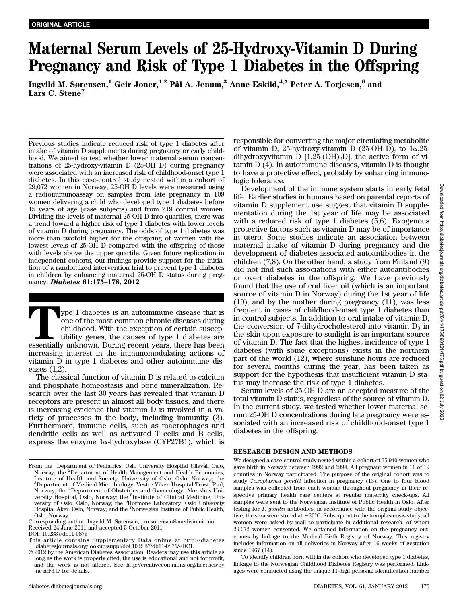# Maternal Serum Levels of 25-Hydroxy-Vitamin D During Pregnancy and Risk of Type 1 Diabetes in the Offspring

Ingvild M. Sørensen,<sup>1</sup> Geir Joner,<sup>1,2</sup> Pål A. Jenum,<sup>3</sup> Anne Eskild,<sup>4,5</sup> Peter A. Torjesen,<sup>6</sup> and Lars C. Stene<sup>7</sup>

Previous studies indicate reduced risk of type 1 diabetes after intake of vitamin D supplements during pregnancy or early childhood. We aimed to test whether lower maternal serum concentrations of 25-hydroxy-vitamin D (25-OH D) during pregnancy were associated with an increased risk of childhood-onset type 1 diabetes. In this case-control study nested within a cohort of 29,072 women in Norway, 25-OH D levels were measured using a radioimmunoassay on samples from late pregnancy in 109 women delivering a child who developed type 1 diabetes before 15 years of age (case subjects) and from 219 control women. Dividing the levels of maternal 25-OH D into quartiles, there was a trend toward a higher risk of type 1 diabetes with lower levels of vitamin D during pregnancy. The odds of type 1 diabetes was more than twofold higher for the offspring of women with the lowest levels of 25-OH D compared with the offspring of those with levels above the upper quartile. Given future replication in independent cohorts, our findings provide support for the initiation of a randomized intervention trial to prevent type 1 diabetes in children by enhancing maternal 25-OH D status during pregnancy. Diabetes 61:175–178, 2012

Type 1 diabetes is an autoimmune disease that is one of the most common chronic diseases during childhood. With the exception of certain susceptibility genes, the causes of type 1 diabetes are essentially unknown. During recent years, there has been increasing interest in the immunomodulating actions of vitamin D in type 1 diabetes and other autoimmune diseases (1,2).

The classical function of vitamin D is related to calcium and phosphate homeostasis and bone mineralization. Research over the last 30 years has revealed that vitamin D receptors are present in almost all body tissues, and there is increasing evidence that vitamin D is involved in a variety of processes in the body, including immunity (3). Furthermore, immune cells, such as macrophages and dendritic cells as well as activated T cells and B cells, express the enzyme  $1\alpha$ -hydroxylase (CYP27B1), which is

DOI: 10.2337/db11-0875

responsible for converting the major circulating metabolite of vitamin D, 25-hydroxy-vitamin D (25-OH D), to  $1\alpha$ , 25dihydroxyvitamin D  $[1,25\text{-}(OH)_2D]$ , the active form of vitamin D (4). In autoimmune diseases, vitamin D is thought to have a protective effect, probably by enhancing immunologic tolerance.

Development of the immune system starts in early fetal life. Earlier studies in humans based on parental reports of vitamin D supplement use suggest that vitamin D supplementation during the 1st year of life may be associated with a reduced risk of type 1 diabetes (5,6). Exogenous protective factors such as vitamin D may be of importance in utero. Some studies indicate an association between maternal intake of vitamin D during pregnancy and the development of diabetes-associated autoantibodies in the children (7,8). On the other hand, a study from Finland (9) did not find such associations with either autoantibodies or overt diabetes in the offspring. We have previously found that the use of cod liver oil (which is an important source of vitamin D in Norway) during the 1st year of life (10), and by the mother during pregnancy (11), was less frequent in cases of childhood-onset type 1 diabetes than in control subjects. In addition to oral intake of vitamin D, the conversion of 7-dihydrocholesterol into vitamin  $D_3$  in the skin upon exposure to sunlight is an important source of vitamin D. The fact that the highest incidence of type 1 diabetes (with some exceptions) exists in the northern part of the world (12), where sunshine hours are reduced for several months during the year, has been taken as support for the hypothesis that insufficient vitamin D status may increase the risk of type 1 diabetes.

Serum levels of 25-OH D are an accepted measure of the total vitamin D status, regardless of the source of vitamin D. In the current study, we tested whether lower maternal serum 25-OH D concentrations during late pregnancy were associated with an increased risk of childhood-onset type 1 diabetes in the offspring.

## RESEARCH DESIGN AND METHODS

We designed a case-control study nested within a cohort of 35,940 women who gave birth in Norway between 1992 and 1994. All pregnant women in 11 of 19 counties in Norway participated. The purpose of the original cohort was to study Toxoplasma gondii infection in pregnancy (13). One to four blood samples was collected from each woman throughout pregnancy in their respective primary health care centers at regular maternity check-ups. All samples were sent to the Norwegian Institute of Public Health in Oslo. After testing for T. gondii antibodies, in accordance with the original study objective, the sera were stored at  $-20^{\circ}$ C. Subsequent to the toxoplasmosis study, all women were asked by mail to participate in additional research, of whom 29,072 women consented. We obtained information on the pregnancy outcomes by linkage to the Medical Birth Registry of Norway. This registry includes information on all deliveries in Norway after 16 weeks of gestation since 1967 (14).

To identify children born within the cohort who developed type 1 diabetes, linkage to the Norwegian Childhood Diabetes Registry was performed. Linkages were conducted using the unique 11-digit personal identification number

From the <sup>1</sup>Department of Pediatrics, Oslo University Hospital Ullevål, Oslo, Norway; the <sup>2</sup>Department of Health Management and Health Economics, Institute of Health and Society, University of Oslo, Oslo, Norway; the 3 Department of Medical Microbiology, Vestre Viken Hospital Trust, Rud, Norway; the <sup>4</sup>Department of Obstetrics and Gynecology, Akershus University Hospital, Oslo, Norway; the <sup>5</sup>Institute of Clinical Medicine, University of Oslo, Oslo, Norway; the <sup>6</sup>Hormone Laboratory, Oslo University Hospital Aker, Oslo, Norway; and the <sup>7</sup> Norwegian Institute of Public Health, Oslo, Norway.

Corresponding author: Ingvild M. Sørensen, i.m.sorensen@medisin.uio.no. Received 24 June 2011 and accepted 5 October 2011.

This article contains Supplementary Data online at http://diabetes .diabetesjournals.org/lookup/suppl/doi:10.2337/db11-0875/-/DC1.

2012 by the American Diabetes Association. Readers may use this article as long as the work is properly cited, the use is educational and not for profit, and the work is not altered. See http://creativecommons.org/licenses/by -nc-nd/3.0/ for details.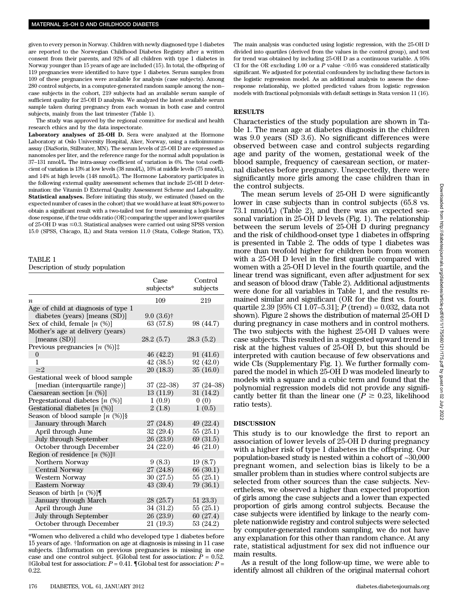given to every person in Norway. Children with newly diagnosed type 1 diabetes are reported to the Norwegian Childhood Diabetes Registry after a written consent from their parents, and 92% of all children with type 1 diabetes in Norway younger than 15 years of age are included (15). In total, the offspring of 119 pregnancies were identified to have type 1 diabetes. Serum samples from 109 of these pregnancies were available for analysis (case subjects). Among 280 control subjects, in a computer-generated random sample among the non– case subjects in the cohort, 219 subjects had an available serum sample of sufficient quality for 25-OH D analysis. We analyzed the latest available serum sample taken during pregnancy from each woman in both case and control subjects, mainly from the last trimester (Table 1).

The study was approved by the regional committee for medical and health research ethics and by the data inspectorate.

Laboratory analyses of 25-OH D. Sera were analyzed at the Hormone Laboratory at Oslo University Hospital, Aker, Norway, using a radioimmunoassay (DiaSorin, Stillwater, MN). The serum levels of 25-OH D are expressed as nanomoles per liter, and the reference range for the normal adult population is 37–131 nmol/L. The intra-assay coefficient of variation is 6%. The total coefficient of variation is 13% at low levels (38 nmol/L), 16% at middle levels (75 nmol/L), and 14% at high levels (148 nmol/L). The Hormone Laboratory participates in the following external quality assessment schemes that include 25-OH D determination: the Vitamin D External Quality Assessment Scheme and Labquality. Statistical analyses. Before initiating this study, we estimated (based on the expected number of cases in the cohort) that we would have at least 80% power to obtain a significant result with a two-tailed test for trend assuming a logit-linear dose response, if the true odds ratio (OR) comparing the upper and lower quartiles of 25-OH D was  $\leq 0.3$ . Statistical analyses were carried out using SPSS version 15.0 (SPSS, Chicago, IL) and Stata version 11.0 (Stata, College Station, TX).

## TABLE 1

## Description of study population

|                                      | Case<br>subjects* | Control<br>subjects |
|--------------------------------------|-------------------|---------------------|
| $\boldsymbol{n}$                     | 109               | 219                 |
| Age of child at diagnosis of type 1  |                   |                     |
| diabetes (years) [means (SD)]        | $9.0(3.6)$ †      |                     |
| Sex of child, female $[n \ (\%)]$    | 63(57.8)          | 98 (44.7)           |
| Mother's age at delivery (years)     |                   |                     |
| [means $(SD)$ ]                      | 28.2 (5.7)        | 28.3(5.2)           |
| Previous pregnancies $[n \ (\%)]$ :  |                   |                     |
| $\overline{0}$                       | 46 (42.2)         | 91 (41.6)           |
| 1                                    | 42(38.5)          | 92 (42.0)           |
| $\geq$ 2                             | 20(18.3)          | 35(16.0)            |
| Gestational week of blood sample     |                   |                     |
| [median (interquartile range)]       | $37(22 - 38)$     | $37(24-38)$         |
| Caesarean section $[n \ (\%)]$       | 13(11.9)          | 31 (14.2)           |
| Pregestational diabetes $[n \ (\%)]$ | 1(0.9)            | 0(0)                |
| Gestational diabetes $[n \ (\%)]$    | 2(1.8)            | 1(0.5)              |
| Season of blood sample $[n \ (\%)]$  |                   |                     |
| January through March                | 27 (24.8)         | 49(22.4)            |
| April through June                   | 32(29.4)          | 55(25.1)            |
| July through September               | 26 (23.9)         | 69 (31.5)           |
| October through December             | 24 (22.0)         | 46 (21.0)           |
| Region of residence $[n \ (\%)]$     |                   |                     |
| Northern Norway                      | 9(8.3)            | 19(8.7)             |
| Central Norway                       | 27 (24.8)         | 66 (30.1)           |
| Western Norway                       | 30(27.5)          | 55(25.1)            |
| Eastern Norway                       | 43(39.4)          | 79 (36.1)           |
| Season of birth $[n \ (\%)]$         |                   |                     |
| January through March                | 28 (25.7)         | 51 23.3)            |
| April through June                   | 34 (31.2)         | 55(25.1)            |
| <b>July through September</b>        | 26(23.9)          | 60 (27.4)           |
| October through December             | 21 (19.3)         | 53 (24.2)           |

\*Women who delivered a child who developed type 1 diabetes before 15 years of age. †Information on age at diagnosis is missing in 11 case subjects. ‡Information on previous pregnancies is missing in one case and one control subject. §Global test for association:  $P = 0.52$ . ||Global test for association:  $P = 0.41$ . ||Global test for association:  $P =$ 0.22.

The main analysis was conducted using logistic regression, with the 25-OH D divided into quartiles (derived from the values in the control group), and test for trend was obtained by including 25-OH D as a continuous variable. A 95% CI for the OR excluding 1.00 or a  $P$  value  $\leq\!0.05$  was considered statistically significant. We adjusted for potential confounders by including these factors in the logistic regression model. As an additional analysis to assess the doseresponse relationship, we plotted predicted values from logistic regression models with fractional polynomials with default settings in Stata version 11 (16).

## RESULTS

Characteristics of the study population are shown in Table 1. The mean age at diabetes diagnosis in the children was 9.0 years (SD 3.6). No significant differences were observed between case and control subjects regarding age and parity of the women, gestational week of the blood sample, frequency of caesarean section, or maternal diabetes before pregnancy. Unexpectedly, there were significantly more girls among the case children than in the control subjects.

The mean serum levels of 25-OH D were significantly lower in case subjects than in control subjects (65.8 vs. 73.1 nmol/L) (Table 2), and there was an expected seasonal variation in 25-OH D levels (Fig. 1). The relationship between the serum levels of 25-OH D during pregnancy and the risk of childhood-onset type 1 diabetes in offspring is presented in Table 2. The odds of type 1 diabetes was more than twofold higher for children born from women with a 25-OH D level in the first quartile compared with women with a 25-OH D level in the fourth quartile, and the linear trend was significant, even after adjustment for sex and season of blood draw (Table 2). Additional adjustments were done for all variables in Table 1, and the results remained similar and significant (OR for the first vs. fourth quartile 2.39 [95% CI 1.07–5.31];  $P$  (trend) = 0.032, data not shown). Figure 2 shows the distribution of maternal 25-OH D during pregnancy in case mothers and in control mothers. The two subjects with the highest 25-OH D values were case subjects. This resulted in a suggested upward trend in risk at the highest values of 25-OH D, but this should be interpreted with caution because of few observations and wide CIs (Supplementary Fig. 1). We further formally compared the model in which 25-OH D was modeled linearly to models with a square and a cubic term and found that the polynomial regression models did not provide any significantly better fit than the linear one ( $P \ge 0.23$ , likelihood ratio tests).

### DISCUSSION

This study is to our knowledge the first to report an association of lower levels of 25-OH D during pregnancy with a higher risk of type 1 diabetes in the offspring. Our population-based study is nested within a cohort of ~30,000 pregnant women, and selection bias is likely to be a smaller problem than in studies where control subjects are selected from other sources than the case subjects. Nevertheless, we observed a higher than expected proportion of girls among the case subjects and a lower than expected proportion of girls among control subjects. Because the case subjects were identified by linkage to the nearly complete nationwide registry and control subjects were selected by computer-generated random sampling, we do not have any explanation for this other than random chance. At any rate, statistical adjustment for sex did not influence our main results.

As a result of the long follow-up time, we were able to identify almost all children of the original maternal cohort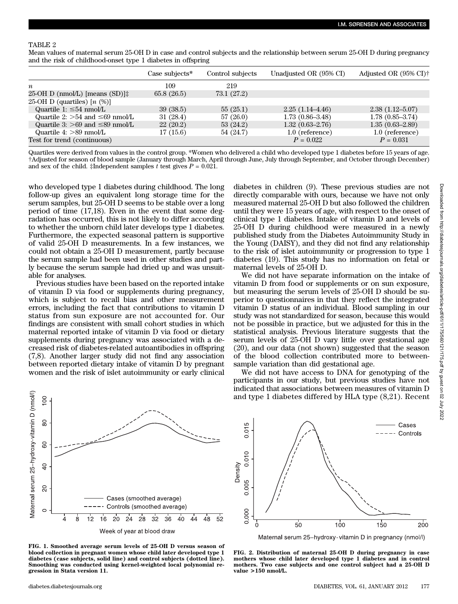# TABLE 2

Mean values of maternal serum 25-OH D in case and control subjects and the relationship between serum 25-OH D during pregnancy and the risk of childhood-onset type 1 diabetes in offspring

|                                            | Case subjects* | Control subjects | Unadjusted OR (95% CI) | Adjusted OR $(95\% \text{ C}D)$ <sup>+</sup> |
|--------------------------------------------|----------------|------------------|------------------------|----------------------------------------------|
| $\boldsymbol{n}$                           | 109            | 219              |                        |                                              |
| $25-OH D$ (nmol/L) [means (SD)] $\ddagger$ | 65.8(26.5)     | 73.1 (27.2)      |                        |                                              |
| 25-OH D (quartiles) $[n \ (\%)]$           |                |                  |                        |                                              |
| Quartile 1: $\leq 54$ nmol/L               | 39 (38.5)      | 55(25.1)         | $2.25(1.14 - 4.46)$    | $2.38(1.12 - 5.07)$                          |
| Quartile 2: $>54$ and $\leq 69$ nmol/L     | 31(28.4)       | 57(26.0)         | $1.73(0.86 - 3.48)$    | $1.78(0.85 - 3.74)$                          |
| Quartile 3: $>69$ and $\leq 89$ nmol/L     | 22(20.2)       | 53 (24.2)        | $1.32(0.63 - 2.76)$    | $1.35(0.63-2.89)$                            |
| Quartile $4:$ $>89$ nmol/L                 | 17(15.6)       | 54 (24.7)        | 1.0 (reference)        | 1.0 (reference)                              |
| Test for trend (continuous)                |                |                  | $P = 0.022$            | $P = 0.031$                                  |

Quartiles were derived from values in the control group. \*Women who delivered a child who developed type 1 diabetes before 15 years of age. †Adjusted for season of blood sample (January through March, April through June, July through September, and October through December) and sex of the child. ‡Independent samples t test gives  $P = 0.021$ .

who developed type 1 diabetes during childhood. The long follow-up gives an equivalent long storage time for the serum samples, but 25-OH D seems to be stable over a long period of time (17,18). Even in the event that some degradation has occurred, this is not likely to differ according to whether the unborn child later develops type 1 diabetes. Furthermore, the expected seasonal pattern is supportive of valid 25-OH D measurements. In a few instances, we could not obtain a 25-OH D measurement, partly because the serum sample had been used in other studies and partly because the serum sample had dried up and was unsuitable for analyses.

Previous studies have been based on the reported intake of vitamin D via food or supplements during pregnancy, which is subject to recall bias and other measurement errors, including the fact that contributions to vitamin D status from sun exposure are not accounted for. Our findings are consistent with small cohort studies in which maternal reported intake of vitamin D via food or dietary supplements during pregnancy was associated with a decreased risk of diabetes-related autoantibodies in offspring (7,8). Another larger study did not find any association between reported dietary intake of vitamin D by pregnant women and the risk of islet autoimmunity or early clinical

diabetes in children (9). These previous studies are not directly comparable with ours, because we have not only measured maternal 25-OH D but also followed the children until they were 15 years of age, with respect to the onset of clinical type 1 diabetes. Intake of vitamin D and levels of 25-OH D during childhood were measured in a newly published study from the Diabetes Autoimmunity Study in the Young (DAISY), and they did not find any relationship to the risk of islet autoimmunity or progression to type 1 diabetes (19). This study has no information on fetal or maternal levels of 25-OH D.

We did not have separate information on the intake of vitamin D from food or supplements or on sun exposure, but measuring the serum levels of 25-OH D should be superior to questionnaires in that they reflect the integrated vitamin D status of an individual. Blood sampling in our study was not standardized for season, because this would not be possible in practice, but we adjusted for this in the statistical analysis. Previous literature suggests that the serum levels of 25-OH D vary little over gestational age (20), and our data (not shown) suggested that the season of the blood collection contributed more to betweensample variation than did gestational age.

We did not have access to DNA for genotyping of the participants in our study, but previous studies have not indicated that associations between measures of vitamin D and type 1 diabetes differed by HLA type (8,21). Recent



FIG. 1. Smoothed average serum levels of 25-OH D versus season of blood collection in pregnant women whose child later developed type 1 diabetes (case subjects, solid line) and control subjects (dotted line). Smoothing was conducted using kernel-weighted local polynomial regression in Stata version 11.



Maternal serum 25-hydroxy-vitamin D in pregnancy (nmol/l)

FIG. 2. Distribution of maternal 25-OH D during pregnancy in case mothers whose child later developed type 1 diabetes and in control mothers. Two case subjects and one control subject had a 25-OH D value >150 nmol/L.